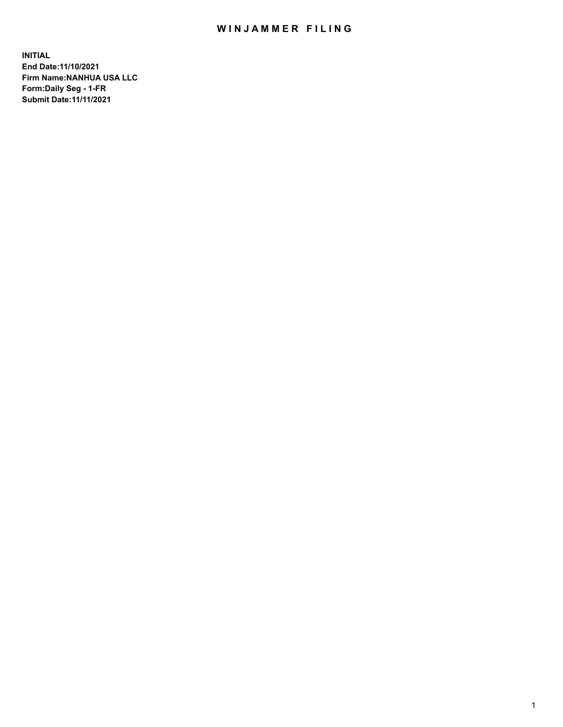## WIN JAMMER FILING

**INITIAL End Date:11/10/2021 Firm Name:NANHUA USA LLC Form:Daily Seg - 1-FR Submit Date:11/11/2021**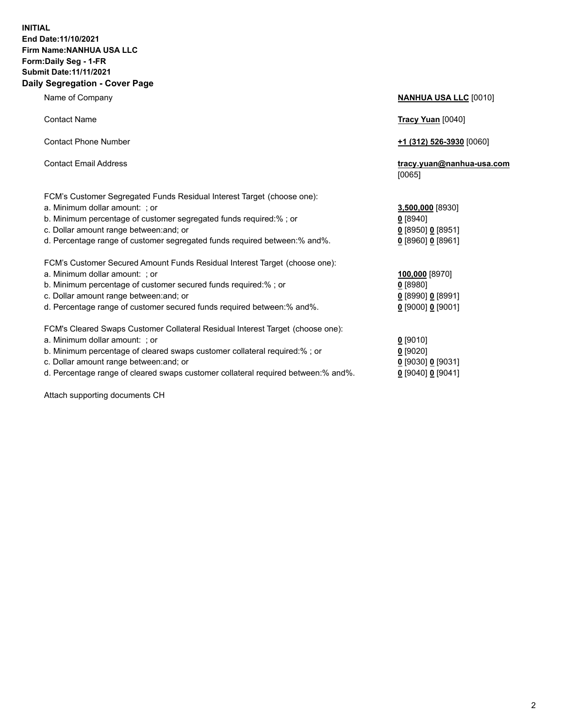### **INITIAL End Date:11/10/2021 Firm Name:NANHUA USA LLC Form:Daily Seg - 1-FR Submit Date:11/11/2021 Daily Segregation - Cover Page**

Name of Company **NANHUA USA LLC** [0010] Contact Name **Tracy Yuan** [0040] Contact Phone Number **+1 (312) 526-3930** [0060] Contact Email Address **tracy.yuan@nanhua-usa.com** [0065] FCM's Customer Segregated Funds Residual Interest Target (choose one): a. Minimum dollar amount: ; or **3,500,000** [8930] b. Minimum percentage of customer segregated funds required:% ; or **0** [8940] c. Dollar amount range between:and; or **0** [8950] **0** [8951] d. Percentage range of customer segregated funds required between:% and%. **0** [8960] **0** [8961] FCM's Customer Secured Amount Funds Residual Interest Target (choose one): a. Minimum dollar amount: ; or **100,000** [8970] b. Minimum percentage of customer secured funds required:% ; or **0** [8980] c. Dollar amount range between:and; or **0** [8990] **0** [8991] d. Percentage range of customer secured funds required between:% and%. **0** [9000] **0** [9001] FCM's Cleared Swaps Customer Collateral Residual Interest Target (choose one): a. Minimum dollar amount: ; or **0** [9010] b. Minimum percentage of cleared swaps customer collateral required:% ; or **0** [9020] c. Dollar amount range between:and; or **0** [9030] **0** [9031]

d. Percentage range of cleared swaps customer collateral required between:% and%. **0** [9040] **0** [9041]

Attach supporting documents CH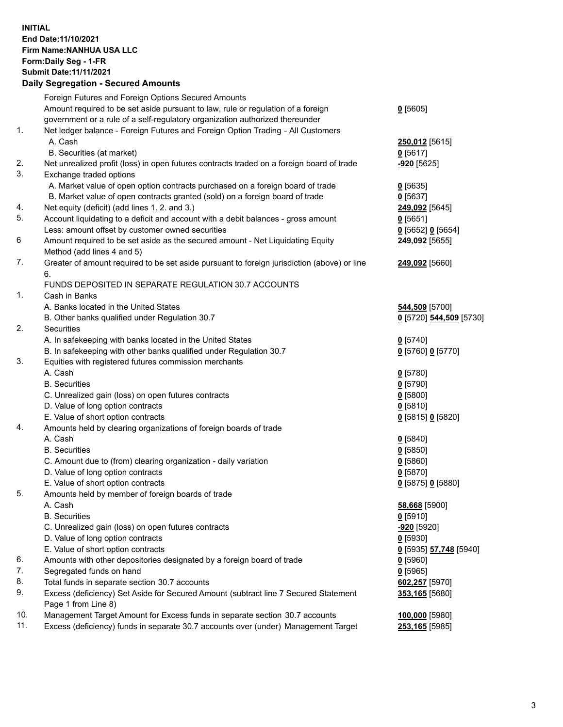**INITIAL End Date:11/10/2021 Firm Name:NANHUA USA LLC Form:Daily Seg - 1-FR Submit Date:11/11/2021**

# **Daily Segregation - Secured Amounts** Foreign Futures and Foreign Options Secured Amounts

|     | r oragn r utdres and r oragn Options occured Amounts                                        |                         |
|-----|---------------------------------------------------------------------------------------------|-------------------------|
|     | Amount required to be set aside pursuant to law, rule or regulation of a foreign            | $0$ [5605]              |
|     | government or a rule of a self-regulatory organization authorized thereunder                |                         |
| 1.  | Net ledger balance - Foreign Futures and Foreign Option Trading - All Customers             |                         |
|     |                                                                                             |                         |
|     | A. Cash                                                                                     | 250,012 [5615]          |
|     | B. Securities (at market)                                                                   | $0$ [5617]              |
| 2.  | Net unrealized profit (loss) in open futures contracts traded on a foreign board of trade   | <u>-920</u> [5625]      |
| 3.  | Exchange traded options                                                                     |                         |
|     | A. Market value of open option contracts purchased on a foreign board of trade              | $0$ [5635]              |
|     | B. Market value of open contracts granted (sold) on a foreign board of trade                | $0$ [5637]              |
| 4.  | Net equity (deficit) (add lines 1. 2. and 3.)                                               |                         |
|     |                                                                                             | 249,092 [5645]          |
| 5.  | Account liquidating to a deficit and account with a debit balances - gross amount           | $0$ [5651]              |
|     | Less: amount offset by customer owned securities                                            | $0$ [5652] $0$ [5654]   |
| 6   | Amount required to be set aside as the secured amount - Net Liquidating Equity              | 249,092 [5655]          |
|     | Method (add lines 4 and 5)                                                                  |                         |
| 7.  | Greater of amount required to be set aside pursuant to foreign jurisdiction (above) or line | <b>249,092</b> [5660]   |
|     | 6.                                                                                          |                         |
|     | FUNDS DEPOSITED IN SEPARATE REGULATION 30.7 ACCOUNTS                                        |                         |
| 1.  | Cash in Banks                                                                               |                         |
|     | A. Banks located in the United States                                                       | 544,509 [5700]          |
|     |                                                                                             |                         |
|     | B. Other banks qualified under Regulation 30.7                                              | 0 [5720] 544,509 [5730] |
| 2.  | Securities                                                                                  |                         |
|     | A. In safekeeping with banks located in the United States                                   | $0$ [5740]              |
|     | B. In safekeeping with other banks qualified under Regulation 30.7                          | 0 [5760] 0 [5770]       |
| 3.  | Equities with registered futures commission merchants                                       |                         |
|     | A. Cash                                                                                     | $0$ [5780]              |
|     | <b>B.</b> Securities                                                                        | $0$ [5790]              |
|     | C. Unrealized gain (loss) on open futures contracts                                         | $0$ [5800]              |
|     | D. Value of long option contracts                                                           |                         |
|     |                                                                                             | $0$ [5810]              |
|     | E. Value of short option contracts                                                          | 0 [5815] 0 [5820]       |
| 4.  | Amounts held by clearing organizations of foreign boards of trade                           |                         |
|     | A. Cash                                                                                     | $0$ [5840]              |
|     | <b>B.</b> Securities                                                                        | $0$ [5850]              |
|     | C. Amount due to (from) clearing organization - daily variation                             | $0$ [5860]              |
|     | D. Value of long option contracts                                                           | $0$ [5870]              |
|     | E. Value of short option contracts                                                          | 0 [5875] 0 [5880]       |
| 5.  | Amounts held by member of foreign boards of trade                                           |                         |
|     | A. Cash                                                                                     | 58,668 [5900]           |
|     |                                                                                             |                         |
|     | <b>B.</b> Securities                                                                        | $0$ [5910]              |
|     | C. Unrealized gain (loss) on open futures contracts                                         | <u>-920</u> [5920]      |
|     | D. Value of long option contracts                                                           | $0$ [5930]              |
|     | E. Value of short option contracts                                                          | 0 [5935] 57,748 [5940]  |
| 6.  | Amounts with other depositories designated by a foreign board of trade                      | $0$ [5960]              |
| 7.  | Segregated funds on hand                                                                    | $0$ [5965]              |
| 8.  | Total funds in separate section 30.7 accounts                                               | 602,257 [5970]          |
| 9.  | Excess (deficiency) Set Aside for Secured Amount (subtract line 7 Secured Statement         | 353,165 [5680]          |
|     | Page 1 from Line 8)                                                                         |                         |
| 10. | Management Target Amount for Excess funds in separate section 30.7 accounts                 |                         |
|     |                                                                                             | 100,000 [5980]          |

11. Excess (deficiency) funds in separate 30.7 accounts over (under) Management Target **253,165** [5985]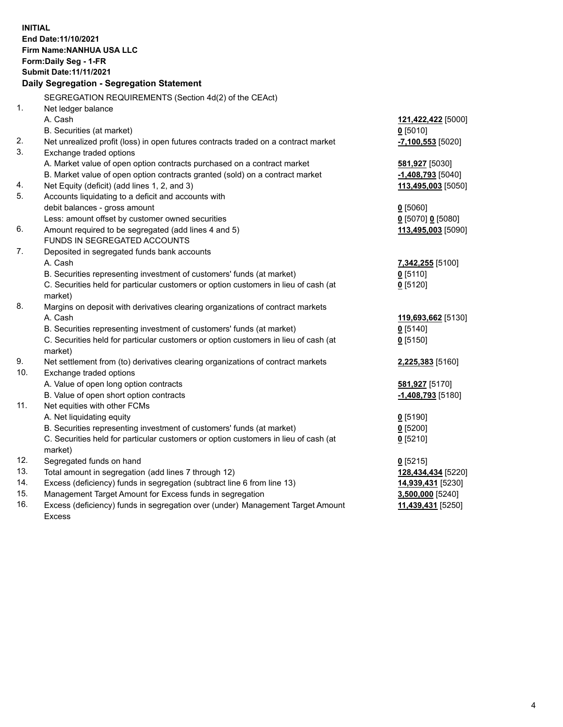**INITIAL End Date:11/10/2021 Firm Name:NANHUA USA LLC Form:Daily Seg - 1-FR Submit Date:11/11/2021 Daily Segregation - Segregation Statement** SEGREGATION REQUIREMENTS (Section 4d(2) of the CEAct) 1. Net ledger balance A. Cash **121,422,422** [5000] B. Securities (at market) **0** [5010] 2. Net unrealized profit (loss) in open futures contracts traded on a contract market **-7,100,553** [5020] 3. Exchange traded options A. Market value of open option contracts purchased on a contract market **581,927** [5030] B. Market value of open option contracts granted (sold) on a contract market **-1,408,793** [5040] 4. Net Equity (deficit) (add lines 1, 2, and 3) **113,495,003** [5050] 5. Accounts liquidating to a deficit and accounts with debit balances - gross amount **0** [5060] Less: amount offset by customer owned securities **0** [5070] **0** [5080] 6. Amount required to be segregated (add lines 4 and 5) **113,495,003** [5090] FUNDS IN SEGREGATED ACCOUNTS 7. Deposited in segregated funds bank accounts A. Cash **7,342,255** [5100] B. Securities representing investment of customers' funds (at market) **0** [5110] C. Securities held for particular customers or option customers in lieu of cash (at market) **0** [5120] 8. Margins on deposit with derivatives clearing organizations of contract markets A. Cash **119,693,662** [5130] B. Securities representing investment of customers' funds (at market) **0** [5140] C. Securities held for particular customers or option customers in lieu of cash (at market) **0** [5150] 9. Net settlement from (to) derivatives clearing organizations of contract markets **2,225,383** [5160] 10. Exchange traded options A. Value of open long option contracts **581,927** [5170] B. Value of open short option contracts **-1,408,793** [5180] 11. Net equities with other FCMs A. Net liquidating equity **0** [5190] B. Securities representing investment of customers' funds (at market) **0** [5200] C. Securities held for particular customers or option customers in lieu of cash (at market) **0** [5210] 12. Segregated funds on hand **0** [5215] 13. Total amount in segregation (add lines 7 through 12) **128,434,434** [5220] 14. Excess (deficiency) funds in segregation (subtract line 6 from line 13) **14,939,431** [5230] 15. Management Target Amount for Excess funds in segregation **3,500,000** [5240] 16. Excess (deficiency) funds in segregation over (under) Management Target Amount Excess **11,439,431** [5250]